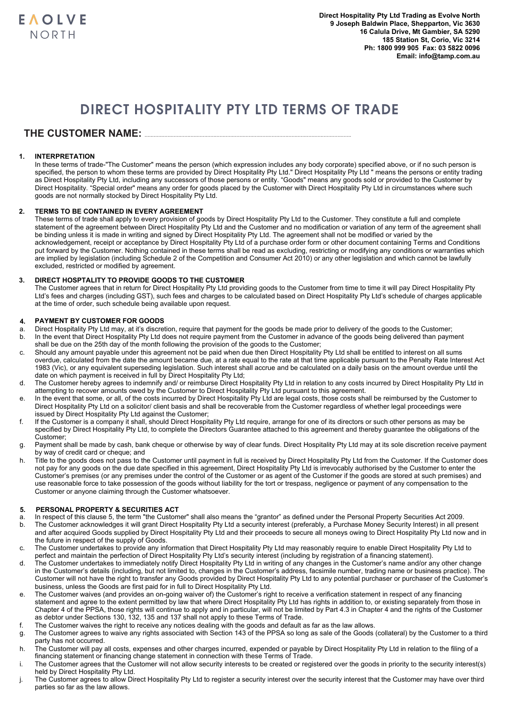# DIRECT HOSPITALITY PTY LTD TERMS OF TRADE

## **THE CUSTOMER NAME:** .......................................................................................................................................

### **1. INTERPRETATION**

In these terms of trade-"The Customer" means the person (which expression includes any body corporate) specified above, or if no such person is specified, the person to whom these terms are provided by Direct Hospitality Pty Ltd." Direct Hospitality Pty Ltd " means the persons or entity trading as Direct Hospitality Pty Ltd, including any successors of those persons or entity. "Goods" means any goods sold or provided to the Customer by Direct Hospitality. "Special order" means any order for goods placed by the Customer with Direct Hospitality Pty Ltd in circumstances where such goods are not normally stocked by Direct Hospitality Pty Ltd.

### **2. TERMS TO BE CONTAINED IN EVERY AGREEMENT**

These terms of trade shall apply to every provision of goods by Direct Hospitality Pty Ltd to the Customer. They constitute a full and complete statement of the agreement between Direct Hospitality Pty Ltd and the Customer and no modification or variation of any term of the agreement shall be binding unless it is made in writing and signed by Direct Hospitality Pty Ltd. The agreement shall not be modified or varied by the acknowledgement, receipt or acceptance by Direct Hospitality Pty Ltd of a purchase order form or other document containing Terms and Conditions put forward by the Customer. Nothing contained in these terms shall be read as excluding, restricting or modifying any conditions or warranties which are implied by legislation (including Schedule 2 of the Competition and Consumer Act 2010) or any other legislation and which cannot be lawfully excluded, restricted or modified by agreement.

### **3. DIRECT HOSPTALITY TO PROVIDE GOODS TO THE CUSTOMER**

The Customer agrees that in return for Direct Hospitality Pty Ltd providing goods to the Customer from time to time it will pay Direct Hospitality Pty Ltd's fees and charges (including GST), such fees and charges to be calculated based on Direct Hospitality Pty Ltd's schedule of charges applicable at the time of order, such schedule being available upon request.

# **4. PAYMENT BY CUSTOMER FOR GOODS**

- Direct Hospitality Pty Ltd may, at it's discretion, require that payment for the goods be made prior to delivery of the goods to the Customer; b. In the event that Direct Hospitality Pty Ltd does not require payment from the Customer in advance of the goods being delivered than payment
- shall be due on the 25th day of the month following the provision of the goods to the Customer;
- c. Should any amount payable under this agreement not be paid when due then Direct Hospitality Pty Ltd shall be entitled to interest on all sums overdue, calculated from the date the amount became due, at a rate equal to the rate at that time applicable pursuant to the Penalty Rate Interest Act 1983 (Vic), or any equivalent superseding legislation. Such interest shall accrue and be calculated on a daily basis on the amount overdue until the date on which payment is received in full by Direct Hospitality Pty Ltd;
- d. The Customer hereby agrees to indemnify and/ or reimburse Direct Hospitality Pty Ltd in relation to any costs incurred by Direct Hospitality Pty Ltd in attempting to recover amounts owed by the Customer to Direct Hospitality Pty Ltd pursuant to this agreement.
- e. In the event that some, or all, of the costs incurred by Direct Hospitality Pty Ltd are legal costs, those costs shall be reimbursed by the Customer to Direct Hospitality Pty Ltd on a solicitor/ client basis and shall be recoverable from the Customer regardless of whether legal proceedings were issued by Direct Hospitality Pty Ltd against the Customer;
- f. If the Customer is a company it shall, should Direct Hospitality Pty Ltd require, arrange for one of its directors or such other persons as may be specified by Direct Hospitality Pty Ltd, to complete the Directors Guarantee attached to this agreement and thereby guarantee the obligations of the Customer;
- g. Payment shall be made by cash, bank cheque or otherwise by way of clear funds. Direct Hospitality Pty Ltd may at its sole discretion receive payment by way of credit card or cheque; and
- h. Title to the goods does not pass to the Customer until payment in full is received by Direct Hospitality Pty Ltd from the Customer. If the Customer does not pay for any goods on the due date specified in this agreement, Direct Hospitality Pty Ltd is irrevocably authorised by the Customer to enter the Customer's premises (or any premises under the control of the Customer or as agent of the Customer if the goods are stored at such premises) and use reasonable force to take possession of the goods without liability for the tort or trespass, negligence or payment of any compensation to the Customer or anyone claiming through the Customer whatsoever.

## **5. PERSONAL PROPERTY & SECURITIES ACT**

- a. In respect of this clause 5, the term "the Customer" shall also means the "grantor" as defined under the Personal Property Securities Act 2009.
- b. The Customer acknowledges it will grant Direct Hospitality Pty Ltd a security interest (preferably, a Purchase Money Security Interest) in all present and after acquired Goods supplied by Direct Hospitality Pty Ltd and their proceeds to secure all moneys owing to Direct Hospitality Pty Ltd now and in the future in respect of the supply of Goods.
- c. The Customer undertakes to provide any information that Direct Hospitality Pty Ltd may reasonably require to enable Direct Hospitality Pty Ltd to perfect and maintain the perfection of Direct Hospitality Pty Ltd's security interest (including by registration of a financing statement).
- d. The Customer undertakes to immediately notify Direct Hospitality Pty Ltd in writing of any changes in the Customer's name and/or any other change in the Customer's details (including, but not limited to, changes in the Customer's address, facsimile number, trading name or business practice). The Customer will not have the right to transfer any Goods provided by Direct Hospitality Pty Ltd to any potential purchaser or purchaser of the Customer's business, unless the Goods are first paid for in full to Direct Hospitality Pty Ltd.
- e. The Customer waives (and provides an on-going waiver of) the Customer's right to receive a verification statement in respect of any financing statement and agree to the extent permitted by law that where Direct Hospitality Pty Ltd has rights in addition to, or existing separately from those in Chapter 4 of the PPSA, those rights will continue to apply and in particular, will not be limited by Part 4.3 in Chapter 4 and the rights of the Customer as debtor under Sections 130, 132, 135 and 137 shall not apply to these Terms of Trade.
- f. The Customer waives the right to receive any notices dealing with the goods and default as far as the law allows.
- g. The Customer agrees to waive any rights associated with Section 143 of the PPSA so long as sale of the Goods (collateral) by the Customer to a third party has not occurred.
- h. The Customer will pay all costs, expenses and other charges incurred, expended or payable by Direct Hospitality Pty Ltd in relation to the filing of a financing statement or financing change statement in connection with these Terms of Trade.
- The Customer agrees that the Customer will not allow security interests to be created or registered over the goods in priority to the security interest(s) held by Direct Hospitality Pty Ltd.
- j. The Customer agrees to allow Direct Hospitality Pty Ltd to register a security interest over the security interest that the Customer may have over third parties so far as the law allows.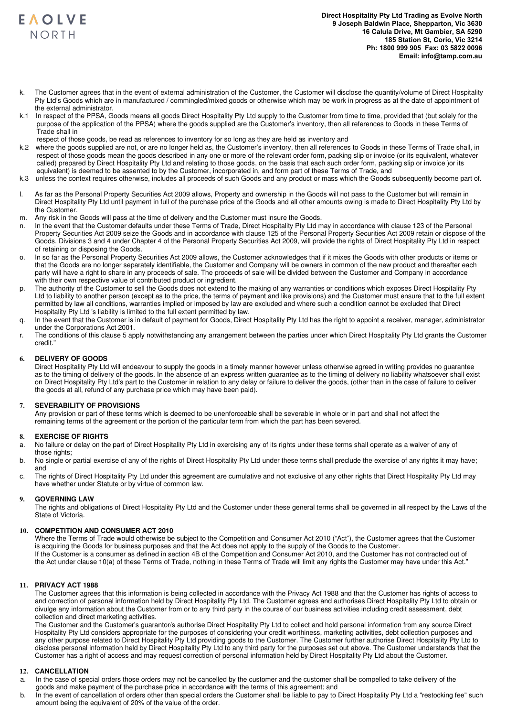

- The Customer agrees that in the event of external administration of the Customer, the Customer will disclose the quantity/volume of Direct Hospitality Pty Ltd's Goods which are in manufactured / commingled/mixed goods or otherwise which may be work in progress as at the date of appointment of the external administrator.
- k.1 In respect of the PPSA, Goods means all goods Direct Hospitality Pty Ltd supply to the Customer from time to time, provided that (but solely for the purpose of the application of the PPSA) where the goods supplied are the Customer's inventory, then all references to Goods in these Terms of Trade shall in
- respect of those goods, be read as references to inventory for so long as they are held as inventory and
- k.2 where the goods supplied are not, or are no longer held as, the Customer's inventory, then all references to Goods in these Terms of Trade shall, in respect of those goods mean the goods described in any one or more of the relevant order form, packing slip or invoice (or its equivalent, whatever called) prepared by Direct Hospitality Pty Ltd and relating to those goods, on the basis that each such order form, packing slip or invoice )or its equivalent) is deemed to be assented to by the Customer, incorporated in, and form part of these Terms of Trade, and
- k.3 unless the context requires otherwise, includes all proceeds of such Goods and any product or mass which the Goods subsequently become part of.
- l. As far as the Personal Property Securities Act 2009 allows, Property and ownership in the Goods will not pass to the Customer but will remain in Direct Hospitality Pty Ltd until payment in full of the purchase price of the Goods and all other amounts owing is made to Direct Hospitality Pty Ltd by the Customer.
- m. Any risk in the Goods will pass at the time of delivery and the Customer must insure the Goods.
- n. In the event that the Customer defaults under these Terms of Trade, Direct Hospitality Pty Ltd may in accordance with clause 123 of the Personal Property Securities Act 2009 seize the Goods and in accordance with clause 125 of the Personal Property Securities Act 2009 retain or dispose of the Goods. Divisions 3 and 4 under Chapter 4 of the Personal Property Securities Act 2009, will provide the rights of Direct Hospitality Pty Ltd in respect of retaining or disposing the Goods.
- o. In so far as the Personal Property Securities Act 2009 allows, the Customer acknowledges that if it mixes the Goods with other products or items or that the Goods are no longer separately identifiable, the Customer and Company will be owners in common of the new product and thereafter each party will have a right to share in any proceeds of sale. The proceeds of sale will be divided between the Customer and Company in accordance with their own respective value of contributed product or ingredient.
- p. The authority of the Customer to sell the Goods does not extend to the making of any warranties or conditions which exposes Direct Hospitality Pty Ltd to liability to another person (except as to the price, the terms of payment and like provisions) and the Customer must ensure that to the full extent permitted by law all conditions, warranties implied or imposed by law are excluded and where such a condition cannot be excluded that Direct Hospitality Pty Ltd 's liability is limited to the full extent permitted by law.
- q. In the event that the Customer is in default of payment for Goods, Direct Hospitality Pty Ltd has the right to appoint a receiver, manager, administrator under the Corporations Act 2001.
- r. The conditions of this clause 5 apply notwithstanding any arrangement between the parties under which Direct Hospitality Pty Ltd grants the Customer credit."

#### **6. DELIVERY OF GOODS**

Direct Hospitality Pty Ltd will endeavour to supply the goods in a timely manner however unless otherwise agreed in writing provides no guarantee as to the timing of delivery of the goods. In the absence of an express written guarantee as to the timing of delivery no liability whatsoever shall exist on Direct Hospitality Pty Ltd's part to the Customer in relation to any delay or failure to deliver the goods, (other than in the case of failure to deliver the goods at all, refund of any purchase price which may have been paid).

#### **7. SEVERABILITY OF PROVISIONS**

Any provision or part of these terms which is deemed to be unenforceable shall be severable in whole or in part and shall not affect the remaining terms of the agreement or the portion of the particular term from which the part has been severed.

#### **8. EXERCISE OF RIGHTS**

- a. No failure or delay on the part of Direct Hospitality Pty Ltd in exercising any of its rights under these terms shall operate as a waiver of any of those rights:
- b. No single or partial exercise of any of the rights of Direct Hospitality Pty Ltd under these terms shall preclude the exercise of any rights it may have; and
- c. The rights of Direct Hospitality Pty Ltd under this agreement are cumulative and not exclusive of any other rights that Direct Hospitality Pty Ltd may have whether under Statute or by virtue of common law.

#### **9. GOVERNING LAW**

The rights and obligations of Direct Hospitality Pty Ltd and the Customer under these general terms shall be governed in all respect by the Laws of the State of Victoria.

#### **10. COMPETITION AND CONSUMER ACT 2010**

Where the Terms of Trade would otherwise be subject to the Competition and Consumer Act 2010 ("Act"), the Customer agrees that the Customer is acquiring the Goods for business purposes and that the Act does not apply to the supply of the Goods to the Customer. If the Customer is a consumer as defined in section 4B of the Competition and Consumer Act 2010, and the Customer has not contracted out of the Act under clause 10(a) of these Terms of Trade, nothing in these Terms of Trade will limit any rights the Customer may have under this Act."

#### **11. PRIVACY ACT 1988**

The Customer agrees that this information is being collected in accordance with the Privacy Act 1988 and that the Customer has rights of access to and correction of personal information held by Direct Hospitality Pty Ltd. The Customer agrees and authorises Direct Hospitality Pty Ltd to obtain or divulge any information about the Customer from or to any third party in the course of our business activities including credit assessment, debt collection and direct marketing activities.

The Customer and the Customer's quarantor/s authorise Direct Hospitality Pty Ltd to collect and hold personal information from any source Direct Hospitality Pty Ltd considers appropriate for the purposes of considering your credit worthiness, marketing activities, debt collection purposes and any other purpose related to Direct Hospitality Pty Ltd providing goods to the Customer. The Customer further authorise Direct Hospitality Pty Ltd to disclose personal information held by Direct Hospitality Pty Ltd to any third party for the purposes set out above. The Customer understands that the Customer has a right of access and may request correction of personal information held by Direct Hospitality Pty Ltd about the Customer.

#### **12. CANCELLATION**

- a. In the case of special orders those orders may not be cancelled by the customer and the customer shall be compelled to take delivery of the goods and make payment of the purchase price in accordance with the terms of this agreement; and
- b. In the event of cancellation of orders other than special orders the Customer shall be liable to pay to Direct Hospitality Pty Ltd a "restocking fee" such amount being the equivalent of 20% of the value of the order.